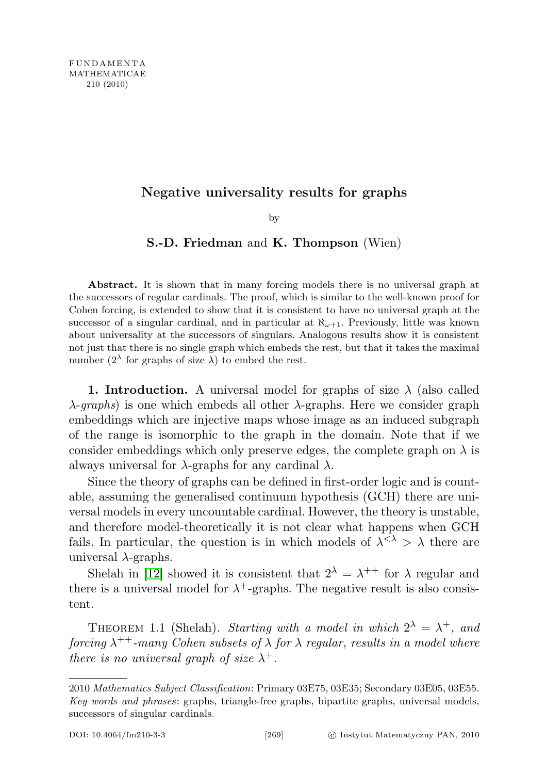## Negative universality results for graphs

by

## S.-D. Friedman and K. Thompson (Wien)

Abstract. It is shown that in many forcing models there is no universal graph at the successors of regular cardinals. The proof, which is similar to the well-known proof for Cohen forcing, is extended to show that it is consistent to have no universal graph at the successor of a singular cardinal, and in particular at  $\aleph_{\omega+1}$ . Previously, little was known about universality at the successors of singulars. Analogous results show it is consistent not just that there is no single graph which embeds the rest, but that it takes the maximal number  $(2^{\lambda}$  for graphs of size  $\lambda$ ) to embed the rest.

**1. Introduction.** A universal model for graphs of size  $\lambda$  (also called  $\lambda$ -graphs) is one which embeds all other  $\lambda$ -graphs. Here we consider graph embeddings which are injective maps whose image as an induced subgraph of the range is isomorphic to the graph in the domain. Note that if we consider embeddings which only preserve edges, the complete graph on  $\lambda$  is always universal for  $\lambda$ -graphs for any cardinal  $\lambda$ .

Since the theory of graphs can be defined in first-order logic and is countable, assuming the generalised continuum hypothesis (GCH) there are universal models in every uncountable cardinal. However, the theory is unstable, and therefore model-theoretically it is not clear what happens when GCH fails. In particular, the question is in which models of  $\lambda^{<\lambda} > \lambda$  there are universal  $\lambda$ -graphs.

Shelah in [\[12\]](#page-13-0) showed it is consistent that  $2^{\lambda} = \lambda^{++}$  for  $\lambda$  regular and there is a universal model for  $\lambda^+$ -graphs. The negative result is also consistent.

THEOREM 1.1 (Shelah). Starting with a model in which  $2^{\lambda} = \lambda^{+}$ , and forcing  $\lambda^{++}$ -many Cohen subsets of  $\lambda$  for  $\lambda$  regular, results in a model where there is no universal graph of size  $\lambda^+$ .

<sup>2010</sup> Mathematics Subject Classification: Primary 03E75, 03E35; Secondary 03E05, 03E55. Key words and phrases: graphs, triangle-free graphs, bipartite graphs, universal models, successors of singular cardinals.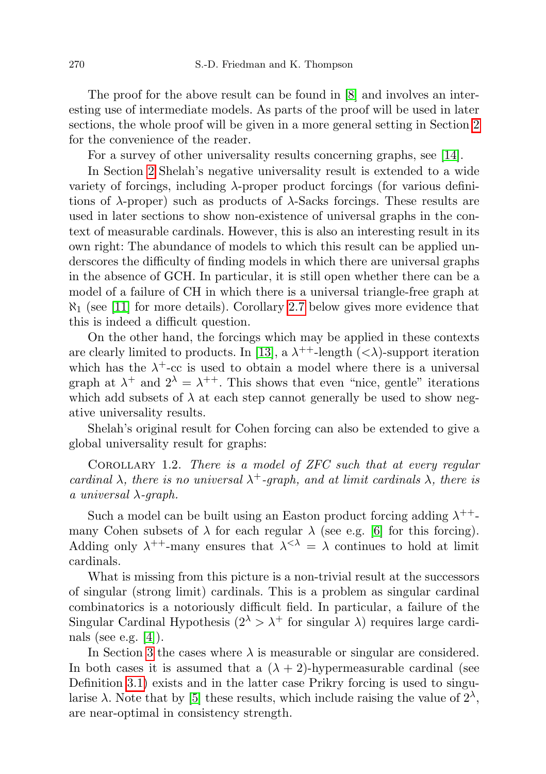The proof for the above result can be found in [\[8\]](#page-13-1) and involves an interesting use of intermediate models. As parts of the proof will be used in later sections, the whole proof will be given in a more general setting in Section [2](#page-2-0) for the convenience of the reader.

For a survey of other universality results concerning graphs, see [\[14\]](#page-14-0).

In Section [2](#page-2-0) Shelah's negative universality result is extended to a wide variety of forcings, including  $\lambda$ -proper product forcings (for various definitions of  $\lambda$ -proper) such as products of  $\lambda$ -Sacks forcings. These results are used in later sections to show non-existence of universal graphs in the context of measurable cardinals. However, this is also an interesting result in its own right: The abundance of models to which this result can be applied underscores the difficulty of finding models in which there are universal graphs in the absence of GCH. In particular, it is still open whether there can be a model of a failure of CH in which there is a universal triangle-free graph at  $\aleph_1$  (see [\[11\]](#page-13-2) for more details). Corollary [2.7](#page-4-0) below gives more evidence that this is indeed a difficult question.

On the other hand, the forcings which may be applied in these contexts are clearly limited to products. In [\[13\]](#page-13-3), a  $\lambda^{++}$ -length  $( $\lambda$ )-support iteration$ which has the  $\lambda^+$ -cc is used to obtain a model where there is a universal graph at  $\lambda^+$  and  $2^{\lambda} = \lambda^{++}$ . This shows that even "nice, gentle" iterations which add subsets of  $\lambda$  at each step cannot generally be used to show negative universality results.

Shelah's original result for Cohen forcing can also be extended to give a global universality result for graphs:

COROLLARY 1.2. There is a model of  $ZFC$  such that at every regular cardinal  $\lambda$ , there is no universal  $\lambda^+$ -graph, and at limit cardinals  $\lambda$ , there is a universal  $\lambda$ -graph.

Such a model can be built using an Easton product forcing adding  $\lambda^{++}$ many Cohen subsets of  $\lambda$  for each regular  $\lambda$  (see e.g. [\[6\]](#page-13-4) for this forcing). Adding only  $\lambda^{++}$ -many ensures that  $\lambda^{<\lambda} = \lambda$  continues to hold at limit cardinals.

What is missing from this picture is a non-trivial result at the successors of singular (strong limit) cardinals. This is a problem as singular cardinal combinatorics is a notoriously difficult field. In particular, a failure of the Singular Cardinal Hypothesis  $(2^{\lambda} > \lambda^+$  for singular  $\lambda$ ) requires large cardinals (see e.g.  $[4]$ ).

In Section [3](#page-4-1) the cases where  $\lambda$  is measurable or singular are considered. In both cases it is assumed that a  $(\lambda + 2)$ -hypermeasurable cardinal (see Definition [3.1\)](#page-4-2) exists and in the latter case Prikry forcing is used to singularise  $\lambda$ . Note that by [\[5\]](#page-13-6) these results, which include raising the value of  $2^{\lambda}$ , are near-optimal in consistency strength.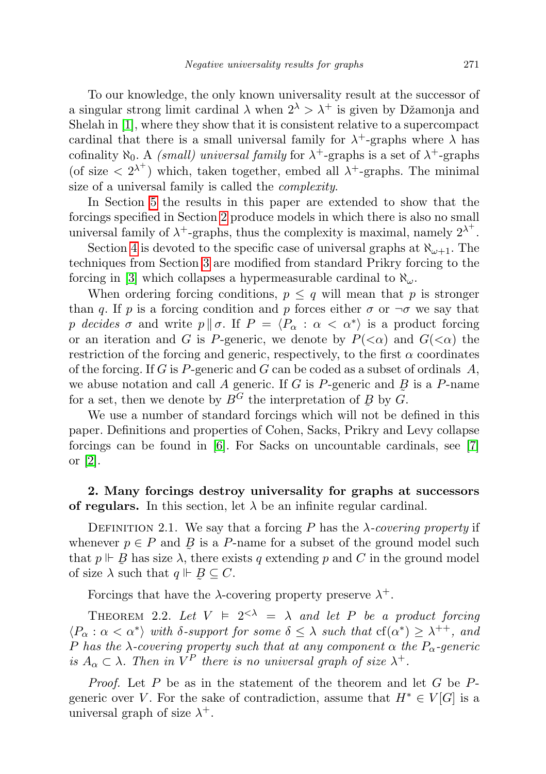To our knowledge, the only known universality result at the successor of a singular strong limit cardinal  $\lambda$  when  $2^{\lambda} > \lambda^+$  is given by Džamonja and Shelah in [\[1\]](#page-13-7), where they show that it is consistent relative to a supercompact cardinal that there is a small universal family for  $\lambda^+$ -graphs where  $\lambda$  has cofinality  $\aleph_0$ . A *(small)* universal family for  $\lambda^+$ -graphs is a set of  $\lambda^+$ -graphs (of size  $\langle 2^{\lambda^+} \rangle$  which, taken together, embed all  $\lambda^+$ -graphs. The minimal size of a universal family is called the complexity.

In Section [5](#page-12-0) the results in this paper are extended to show that the forcings specified in Section [2](#page-2-0) produce models in which there is also no small universal family of  $\lambda^+$ -graphs, thus the complexity is maximal, namely  $2^{\lambda^+}$ .

Section [4](#page-8-0) is devoted to the specific case of universal graphs at  $\aleph_{\omega+1}$ . The techniques from Section [3](#page-4-1) are modified from standard Prikry forcing to the forcing in [\[3\]](#page-13-8) which collapses a hypermeasurable cardinal to  $\aleph_{\omega}$ .

When ordering forcing conditions,  $p \leq q$  will mean that p is stronger than q. If p is a forcing condition and p forces either  $\sigma$  or  $\neg \sigma$  we say that p decides  $\sigma$  and write  $p \parallel \sigma$ . If  $P = \langle P_{\alpha} : \alpha < \alpha^* \rangle$  is a product forcing or an iteration and G is P-generic, we denote by  $P(\leq \alpha)$  and  $G(\leq \alpha)$  the restriction of the forcing and generic, respectively, to the first  $\alpha$  coordinates of the forcing. If G is P-generic and G can be coded as a subset of ordinals  $A$ , we abuse notation and call A generic. If G is P-generic and  $\overline{B}$  is a P-name for a set, then we denote by  $B^G$  the interpretation of  $B$  by  $\tilde{G}$ .

We use a number of standard forcings which will not be defined in this paper. Definitions and properties of Cohen, Sacks, Prikry and Levy collapse forcings can be found in [\[6\]](#page-13-4). For Sacks on uncountable cardinals, see [\[7\]](#page-13-9) or [\[2\]](#page-13-10).

## <span id="page-2-0"></span>2. Many forcings destroy universality for graphs at successors of regulars. In this section, let  $\lambda$  be an infinite regular cardinal.

DEFINITION 2.1. We say that a forcing P has the  $\lambda$ -covering property if whenever  $p \in P$  and  $\overline{B}$  is a P-name for a subset of the ground model such that  $p \Vdash B$  has size  $\lambda$ , there exists q extending p and C in the ground model of size  $\lambda$  such that  $q \Vdash B$  $\tilde{a}$  $\subseteq C$ .

Forcings that have the  $\lambda$ -covering property preserve  $\lambda^+$ .

<span id="page-2-1"></span>THEOREM 2.2. Let  $V = 2<sup>{ $\lambda}$</sup>  =  $\lambda$  and let P be a product forcing$  $\langle P_\alpha : \alpha < \alpha^* \rangle$  with  $\delta$ -support for some  $\delta \leq \lambda$  such that  $cf(\alpha^*) \geq \lambda^{++}$ , and P has the  $\lambda$ -covering property such that at any component  $\alpha$  the  $P_{\alpha}$ -generic is  $A_{\alpha} \subset \lambda$ . Then in  $V^P$  there is no universal graph of size  $\lambda^+$ .

<span id="page-2-2"></span>*Proof.* Let  $P$  be as in the statement of the theorem and let  $G$  be  $P$ generic over V. For the sake of contradiction, assume that  $H^* \in V[G]$  is a universal graph of size  $\lambda^+$ .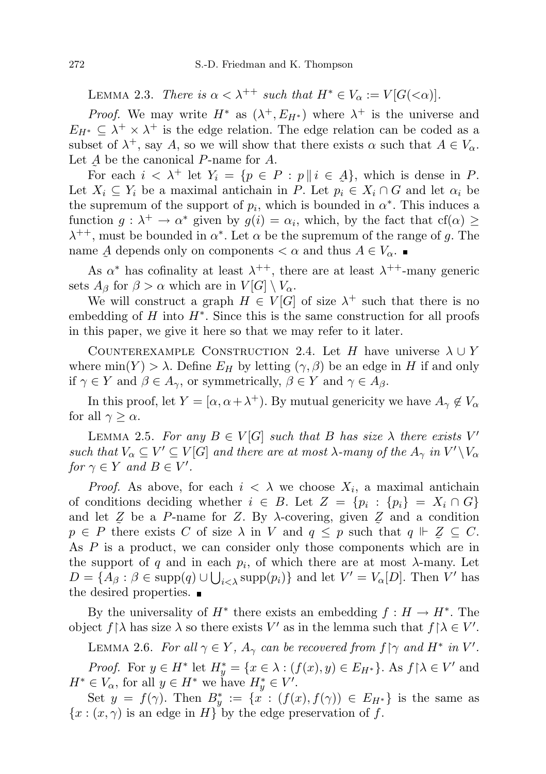LEMMA 2.3. There is  $\alpha < \lambda^{++}$  such that  $H^* \in V_\alpha := V[G(\alpha)]$ .

*Proof.* We may write  $H^*$  as  $(\lambda^+, E_{H^*})$  where  $\lambda^+$  is the universe and  $E_{H^*} \subseteq \lambda^+ \times \lambda^+$  is the edge relation. The edge relation can be coded as a subset of  $\lambda^+$ , say A, so we will show that there exists  $\alpha$  such that  $A \in V_\alpha$ . Let  $A$  be the canonical P-name for  $A$ .

For each  $i < \lambda^+$  let  $Y_i = \{p \in P : p \mid i \in \mathcal{A}\}\$ , which is dense in P. Let  $X_i \subseteq Y_i$  be a maximal antichain in P. Let  $p_i \in X_i \cap G$  and let  $\alpha_i$  be the supremum of the support of  $p_i$ , which is bounded in  $\alpha^*$ . This induces a function  $g: \lambda^+ \to \alpha^*$  given by  $g(i) = \alpha_i$ , which, by the fact that  $cf(\alpha) \geq$  $\lambda^{++}$ , must be bounded in  $\alpha^*$ . Let  $\alpha$  be the supremum of the range of g. The name  $\underline{A}$  depends only on components  $\langle \alpha \rangle$  and thus  $A \in V_{\alpha}$ .

 $\tilde{\phantom{a}}$ As  $\alpha^*$  has cofinality at least  $\lambda^{++}$ , there are at least  $\lambda^{++}$ -many generic sets  $A_{\beta}$  for  $\beta > \alpha$  which are in  $V[G] \setminus V_{\alpha}$ .

We will construct a graph  $H \in V[G]$  of size  $\lambda^+$  such that there is no embedding of  $H$  into  $H^*$ . Since this is the same construction for all proofs in this paper, we give it here so that we may refer to it later.

<span id="page-3-0"></span>COUNTEREXAMPLE CONSTRUCTION 2.4. Let H have universe  $\lambda \cup Y$ where  $\min(Y) > \lambda$ . Define  $E_H$  by letting  $(\gamma, \beta)$  be an edge in H if and only if  $\gamma \in Y$  and  $\beta \in A_{\gamma}$ , or symmetrically,  $\beta \in Y$  and  $\gamma \in A_{\beta}$ .

In this proof, let  $Y = [\alpha, \alpha + \lambda^+)$ . By mutual genericity we have  $A_\gamma \notin V_\alpha$ for all  $\gamma \geq \alpha$ .

<span id="page-3-1"></span>LEMMA 2.5. For any  $B \in V[G]$  such that B has size  $\lambda$  there exists  $V'$ such that  $V_{\alpha} \subseteq V' \subseteq V[G]$  and there are at most  $\lambda$ -many of the  $A_{\gamma}$  in  $V' \setminus V_{\alpha}$ for  $\gamma \in Y$  and  $B \in V'$ .

*Proof.* As above, for each  $i < \lambda$  we choose  $X_i$ , a maximal antichain of conditions deciding whether  $i \in B$ . Let  $Z = \{p_i : \{p_i\} = X_i \cap G\}$ and let  $\mathcal{Z}$  be a P-name for Z. By  $\lambda$ -covering, given  $\mathcal{Z}$  and a condition  $p \in P$  there exists C of size  $\lambda$  in V and  $q \leq p$  such that  $q \Vdash \mathcal{Z} \subseteq C$ . As P is a product, we can consider only those components which are in the support of q and in each  $p_i$ , of which there are at most  $\lambda$ -many. Let  $D = \{A_{\beta} : \beta \in \text{supp}(q) \cup \bigcup_{i < \lambda} \text{supp}(p_i)\}\$ and let  $V' = V_{\alpha}[D]$ . Then  $V'$  has the desired properties.  $\blacksquare$ 

By the universality of  $H^*$  there exists an embedding  $f: H \to H^*$ . The object  $f \upharpoonright \lambda$  has size  $\lambda$  so there exists V' as in the lemma such that  $f \upharpoonright \lambda \in V'$ .

<span id="page-3-2"></span>LEMMA 2.6. For all  $\gamma \in Y$ ,  $A_{\gamma}$  can be recovered from  $f \upharpoonright \gamma$  and  $H^*$  in  $V'$ . *Proof.* For  $y \in H^*$  let  $H_y^* = \{x \in \lambda : (f(x), y) \in E_{H^*}\}\)$ . As  $f \upharpoonright \lambda \in V'$  and  $H^* \in V_\alpha$ , for all  $y \in H^*$  we have  $H^*_y \in V'.$ 

Set  $y = f(\gamma)$ . Then  $B_y^* := \{x : (f(x), f(\gamma)) \in E_{H^*}\}\$ is the same as  ${x : (x, \gamma)}$  is an edge in H by the edge preservation of f.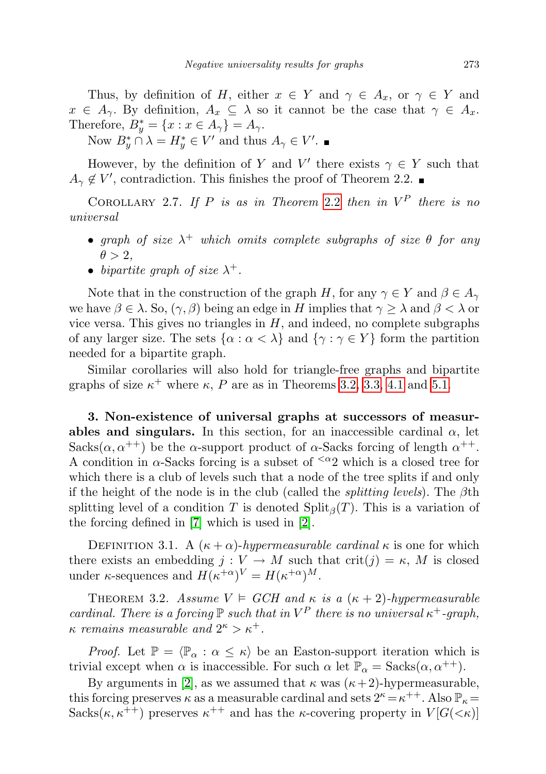Thus, by definition of H, either  $x \in Y$  and  $\gamma \in A_x$ , or  $\gamma \in Y$  and  $x \in A_{\gamma}$ . By definition,  $A_x \subseteq \lambda$  so it cannot be the case that  $\gamma \in A_x$ . Therefore,  $B_y^* = \{x : x \in A_\gamma\} = A_\gamma.$ 

Now  $B_y^* \cap \lambda = H_y^* \in V'$  and thus  $A_\gamma \in V'.$ 

However, by the definition of Y and V' there exists  $\gamma \in Y$  such that  $A_{\gamma} \notin V'$ , contradiction. This finishes the proof of Theorem 2.2.

<span id="page-4-0"></span>COROLLARY 2.7. If P is as in Theorem [2.2](#page-2-1) then in  $V^P$  there is no universal

- graph of size  $\lambda^+$  which omits complete subgraphs of size  $\theta$  for any  $\theta > 2$ .
- bipartite graph of size  $\lambda^+$ .

Note that in the construction of the graph H, for any  $\gamma \in Y$  and  $\beta \in A_{\gamma}$ we have  $\beta \in \lambda$ . So,  $(\gamma, \beta)$  being an edge in H implies that  $\gamma \geq \lambda$  and  $\beta < \lambda$  or vice versa. This gives no triangles in  $H$ , and indeed, no complete subgraphs of any larger size. The sets  $\{\alpha : \alpha < \lambda\}$  and  $\{\gamma : \gamma \in Y\}$  form the partition needed for a bipartite graph.

Similar corollaries will also hold for triangle-free graphs and bipartite graphs of size  $\kappa^+$  where  $\kappa$ , P are as in Theorems [3.2,](#page-4-3) [3.3,](#page-5-0) [4.1](#page-8-1) and [5.1.](#page-12-1)

<span id="page-4-1"></span>3. Non-existence of universal graphs at successors of measurables and singulars. In this section, for an inaccessible cardinal  $\alpha$ , let Sacks $(\alpha, \alpha^{++})$  be the  $\alpha$ -support product of  $\alpha$ -Sacks forcing of length  $\alpha^{++}$ . A condition in  $\alpha$ -Sacks forcing is a subset of  $\alpha$ <sup>2</sup> which is a closed tree for which there is a club of levels such that a node of the tree splits if and only if the height of the node is in the club (called the *splitting levels*). The  $\beta$ th splitting level of a condition T is denoted  $\text{Split}_{\beta}(T)$ . This is a variation of the forcing defined in [\[7\]](#page-13-9) which is used in [\[2\]](#page-13-10).

<span id="page-4-2"></span>DEFINITION 3.1. A  $(\kappa + \alpha)$ -hypermeasurable cardinal  $\kappa$  is one for which there exists an embedding  $j: V \to M$  such that crit $(j) = \kappa$ , M is closed under  $\kappa$ -sequences and  $H(\kappa^{+\alpha})^V = H(\kappa^{+\alpha})^M$ .

<span id="page-4-3"></span>THEOREM 3.2. Assume  $V \models GCH$  and  $\kappa$  is a  $(\kappa + 2)$ -hypermeasurable cardinal. There is a forcing  $\mathbb P$  such that in  $V^P$  there is no universal  $\kappa^+$ -graph,  $\kappa$  remains measurable and  $2^{\kappa} > \kappa^+$ .

*Proof.* Let  $\mathbb{P} = \langle \mathbb{P}_{\alpha} : \alpha \leq \kappa \rangle$  be an Easton-support iteration which is trivial except when  $\alpha$  is inaccessible. For such  $\alpha$  let  $\mathbb{P}_{\alpha} = \text{Sacks}(\alpha, \alpha^{++})$ .

By arguments in [\[2\]](#page-13-10), as we assumed that  $\kappa$  was  $(\kappa + 2)$ -hypermeasurable, this forcing preserves  $\kappa$  as a measurable cardinal and sets  $2^{\kappa} = \kappa^{++}$ . Also  $\mathbb{P}_{\kappa} =$ Sacks $(\kappa, \kappa^{++})$  preserves  $\kappa^{++}$  and has the  $\kappa$ -covering property in  $V[G(\kappa)]$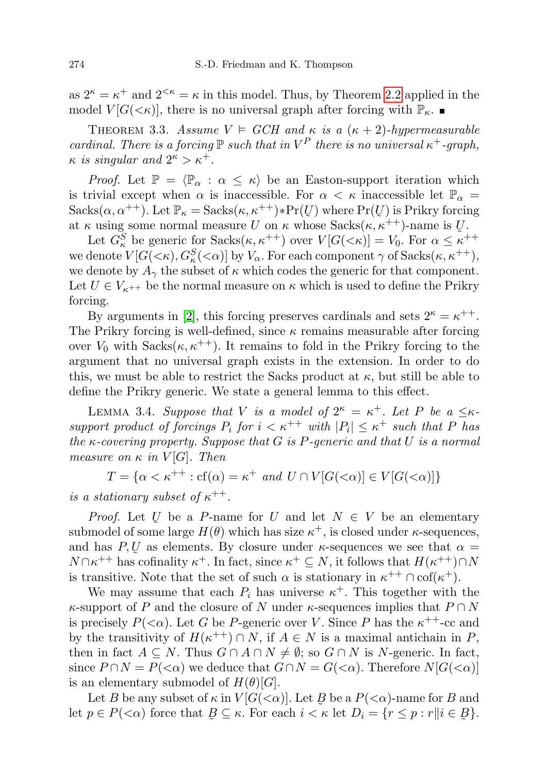as  $2^{\kappa} = \kappa^+$  and  $2^{<\kappa} = \kappa$  in this model. Thus, by Theorem [2.2](#page-2-1) applied in the model  $V[G(\lt k)]$ , there is no universal graph after forcing with  $\mathbb{P}_{\kappa}$ .

<span id="page-5-0"></span>THEOREM 3.3. Assume  $V \models GCH$  and  $\kappa$  is a  $(\kappa + 2)$ -hypermeasurable cardinal. There is a forcing  $\mathbb P$  such that in  $V^P$  there is no universal  $\kappa^+$ -graph,  $\kappa$  is singular and  $2^{\kappa} > \kappa^+$ .

*Proof.* Let  $\mathbb{P} = \langle \mathbb{P}_{\alpha} : \alpha \leq \kappa \rangle$  be an Easton-support iteration which is trivial except when  $\alpha$  is inaccessible. For  $\alpha < \kappa$  inaccessible let  $\mathbb{P}_{\alpha}$  =  $Sacks(\alpha, \alpha^{++})$ . Let  $\mathbb{P}_{\kappa} = Sacks(\kappa, \kappa^{++}) * Pr(U)$  where  $Pr(U)$  is Prikry forcing at  $\kappa$  using some normal measure U on  $\kappa$  whose Sacks $(\kappa, \kappa^{++})$ -name is U.

Let  $G_{\kappa}^{S}$  be generic for  $Sacks(\kappa, \kappa^{++})$  over  $V[G(<\kappa)] = V_0$ . For  $\alpha \leq \kappa^{++}$ we denote  $V[G(\lt k), G^S_\kappa(\lt \alpha)]$  by  $V_\alpha$ . For each component  $\gamma$  of  $Sacks(\kappa, \kappa^{++}),$ we denote by  $A_{\gamma}$  the subset of  $\kappa$  which codes the generic for that component. Let  $U \in V_{\kappa^{++}}$  be the normal measure on  $\kappa$  which is used to define the Prikry forcing.

By arguments in [\[2\]](#page-13-10), this forcing preserves cardinals and sets  $2^{\kappa} = \kappa^{++}$ . The Prikry forcing is well-defined, since  $\kappa$  remains measurable after forcing over  $V_0$  with  $Sacks(\kappa, \kappa^{++})$ . It remains to fold in the Prikry forcing to the argument that no universal graph exists in the extension. In order to do this, we must be able to restrict the Sacks product at  $\kappa$ , but still be able to define the Prikry generic. We state a general lemma to this effect.

<span id="page-5-1"></span>LEMMA 3.4. Suppose that V is a model of  $2^{\kappa} = \kappa^+$ . Let P be a  $\leq \kappa$ support product of forcings  $P_i$  for  $i < \kappa^{++}$  with  $|P_i| \leq \kappa^+$  such that P has the  $\kappa$ -covering property. Suppose that G is P-generic and that U is a normal measure on  $\kappa$  in  $V[G]$ . Then

 $T = \{ \alpha < \kappa^{++} : \text{cf}(\alpha) = \kappa^+ \text{ and } U \cap V[G(<\alpha)] \in V[G(<\alpha)] \}$ 

is a stationary subset of  $\kappa^{++}$ .

*Proof.* Let U be a P-name for U and let  $N \in V$  be an elementary submodel of some large  $H(\theta)$  which has size  $\kappa^+$ , is closed under  $\kappa$ -sequences, and has  $P, U$  as elements. By closure under  $\kappa$ -sequences we see that  $\alpha =$  $N \cap \kappa^{++}$  has cofinality  $\kappa^+$ . In fact, since  $\kappa^+ \subseteq N$ , it follows that  $H(\kappa^{++}) \cap N$ is transitive. Note that the set of such  $\alpha$  is stationary in  $\kappa^{++} \cap \text{cof}(\kappa^+)$ .

We may assume that each  $P_i$  has universe  $\kappa^+$ . This together with the  $\kappa$ -support of P and the closure of N under  $\kappa$ -sequences implies that  $P \cap N$ is precisely  $P(\leq \alpha)$ . Let G be P-generic over V. Since P has the  $\kappa^{++}$ -cc and by the transitivity of  $H(\kappa^{++}) \cap N$ , if  $A \in N$  is a maximal antichain in P, then in fact  $A \subseteq N$ . Thus  $G \cap A \cap N \neq \emptyset$ ; so  $G \cap N$  is N-generic. In fact, since  $P \cap N = P(\langle \alpha \rangle)$  we deduce that  $G \cap N = G(\langle \alpha \rangle)$ . Therefore  $N[G(\langle \alpha \rangle)]$ is an elementary submodel of  $H(\theta)[G].$ 

Let B be any subset of  $\kappa$  in  $V[G(\langle \alpha)]$ . Let B be a  $P(\langle \alpha \rangle)$ -name for B and Let  $p \in P(\langle \alpha \rangle)$  force that  $B \subseteq \kappa$ . For each  $i < \kappa$  $B \subseteq \kappa$ . For each  $i < \kappa$  let  $D_i = \{r \leq p : r | | i \in B\}$ }.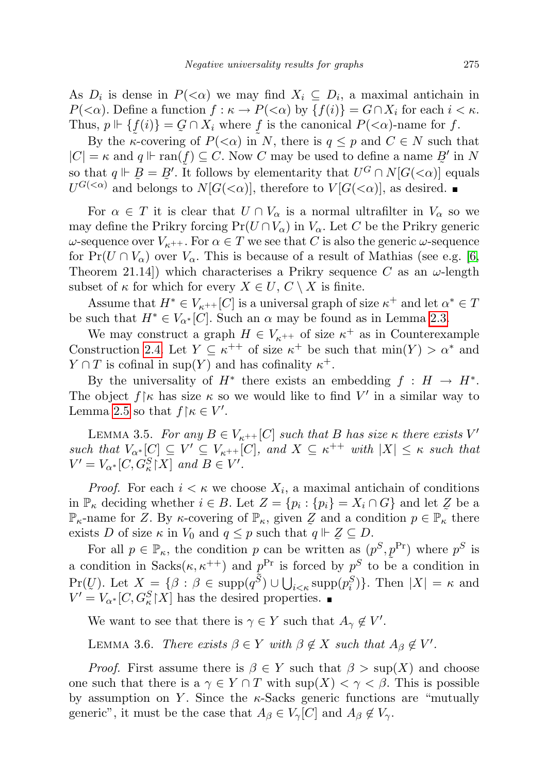As  $D_i$  is dense in  $P(\leq \alpha)$  we may find  $X_i \subseteq D_i$ , a maximal antichain in  $P(\langle \alpha \rangle)$ . Define a function  $f : \kappa \to P(\langle \alpha \rangle)$  by  $\{f(i)\} = G \cap X_i$  for each  $i \leq \kappa$ . Thus,  $p \Vdash \{f(i)\} = G \cap X_i$  where f is the canonical  $P(\langle \alpha \rangle)$ -name for f.

By the  $\kappa$ -covering of  $P(\leq \alpha)$  in N, there is  $q \leq p$  and  $C \in N$  such that  $|C| = \kappa$  and  $q \Vdash \text{ran}(f) \subseteq C$ . Now C may be used to define a name  $\mathcal{B}'$  in N so that  $q \Vdash \overline{B} = B'$ . It follows by elementarity that  $U^G \cap N[G(<\alpha)]$  equals  $U^{G(<\alpha)}$  and belongs to  $N[G(<\alpha)]$ , therefore to  $V[G(<\alpha)]$ , as desired.

For  $\alpha \in T$  it is clear that  $U \cap V_{\alpha}$  is a normal ultrafilter in  $V_{\alpha}$  so we may define the Prikry forcing  $Pr(U \cap V_\alpha)$  in  $V_\alpha$ . Let C be the Prikry generic  $ω$ -sequence over  $V_{κ^{++}}$ . For  $α ∈ T$  we see that C is also the generic  $ω$ -sequence for  $Pr(U \cap V_\alpha)$  over  $V_\alpha$ . This is because of a result of Mathias (see e.g. [\[6,](#page-13-4) Theorem 21.14) which characterises a Prikry sequence C as an  $\omega$ -length subset of  $\kappa$  for which for every  $X \in U, C \setminus X$  is finite.

Assume that  $H^* \in V_{\kappa^{++}}[C]$  is a universal graph of size  $\kappa^+$  and let  $\alpha^* \in T$ be such that  $H^* \in V_{\alpha^*}[C]$ . Such an  $\alpha$  may be found as in Lemma [2.3.](#page-2-2)

We may construct a graph  $H \in V_{\kappa^{++}}$  of size  $\kappa^+$  as in Counterexample Construction [2.4.](#page-3-0) Let  $Y \subseteq \kappa^{++}$  of size  $\kappa^+$  be such that  $\min(Y) > \alpha^*$  and  $Y \cap T$  is cofinal in sup(Y) and has cofinality  $\kappa^+$ .

By the universality of  $H^*$  there exists an embedding  $f : H \to H^*$ . The object  $f \upharpoonright \kappa$  has size  $\kappa$  so we would like to find  $V'$  in a similar way to Lemma [2.5](#page-3-1) so that  $f \upharpoonright \kappa \in V'.$ 

<span id="page-6-0"></span>LEMMA 3.5. For any  $B \in V_{\kappa^{++}}[C]$  such that B has size  $\kappa$  there exists  $V'$ such that  $V_{\alpha^*}[C] \subseteq V' \subseteq V_{\kappa^{++}}[C]$ , and  $X \subseteq \kappa^{++}$  with  $|X| \leq \kappa$  such that  $V' = V_{\alpha^*}[C, G^S_{\kappa} | X]$  and  $B \in V'.$ 

*Proof.* For each  $i < \kappa$  we choose  $X_i$ , a maximal antichain of conditions in  $\mathbb{P}_{\kappa}$  deciding whether  $i \in B$ . Let  $Z = \{p_i : \{p_i\} = X_i \cap G\}$  and let  $\mathcal{Z}$  be a  $\mathbb{P}_{\kappa}$ -name for Z. By  $\kappa$ -covering of  $\mathbb{P}_{\kappa}$ , given  $\mathcal{Z}$  and a condition  $p \in \mathbb{P}_{\kappa}$  there exists D of size  $\kappa$  in  $V_0$  and  $q \leq p$  such that  $q \Vdash \mathcal{Z} \subseteq D$ .

For all  $p \in \mathbb{P}_{\kappa}$ , the condition p can be written as  $(p^{S}, p^{\text{Pr}})$  where  $p^{S}$  is a condition in Sacks $(\kappa, \kappa^{++})$  and  $p^{\text{Pr}}$  is forced by  $p^S$  to be a condition in  $\Pr(U)$ . Let  $X = \{\beta : \beta \in \text{supp}(q^{\tilde{S}}) \cup \bigcup_{i \leq \kappa} \text{supp}(p_i^S)\}\)$ . Then  $|X| = \kappa$  and  $V' = V_{\alpha^*}[C, G_{\kappa}^S | X]$  has the desired properties.

We want to see that there is  $\gamma \in Y$  such that  $A_{\gamma} \notin V'$ .

<span id="page-6-1"></span>LEMMA 3.6. There exists  $\beta \in Y$  with  $\beta \notin X$  such that  $A_{\beta} \notin V'$ .

*Proof.* First assume there is  $\beta \in Y$  such that  $\beta > \sup(X)$  and choose one such that there is a  $\gamma \in Y \cap T$  with  $\sup(X) < \gamma < \beta$ . This is possible by assumption on Y. Since the  $\kappa$ -Sacks generic functions are "mutually generic", it must be the case that  $A_{\beta} \in V_{\gamma}[C]$  and  $A_{\beta} \notin V_{\gamma}$ .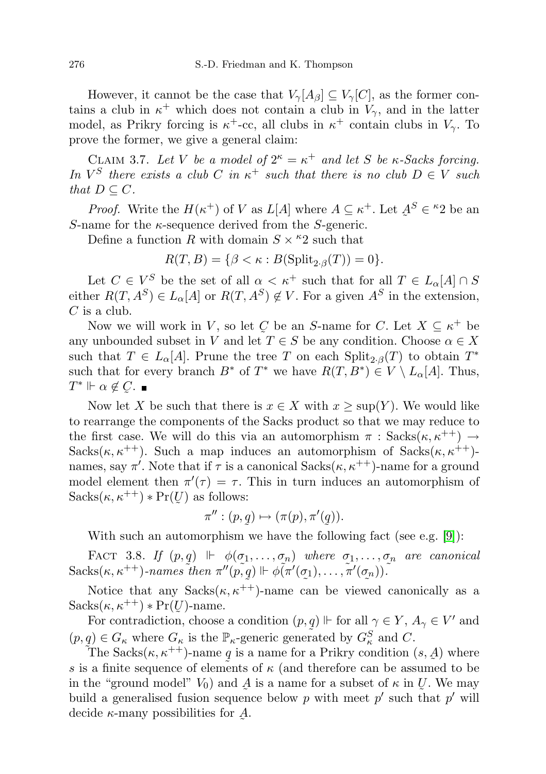However, it cannot be the case that  $V_{\gamma}[A_{\beta}] \subseteq V_{\gamma}[C]$ , as the former contains a club in  $\kappa^+$  which does not contain a club in  $V_\gamma$ , and in the latter model, as Prikry forcing is  $\kappa^+$ -cc, all clubs in  $\kappa^+$  contain clubs in  $V_\gamma$ . To prove the former, we give a general claim:

<span id="page-7-0"></span>CLAIM 3.7. Let V be a model of  $2^{\kappa} = \kappa^+$  and let S be  $\kappa$ -Sacks forcing. In  $V^S$  there exists a club C in  $\kappa^+$  such that there is no club  $D \in V$  such that  $D \subset C$ .

*Proof.* Write the  $H(\kappa^+)$  of V as  $L[A]$  where  $A \subseteq \kappa^+$ . Let  $\underline{A}$  $\tilde{a}$  $S \in {}^{\kappa}2$  be an S-name for the  $\kappa$ -sequence derived from the S-generic.

Define a function R with domain  $S \times \kappa^2$  such that

 $R(T, B) = \{ \beta < \kappa : B(\text{Split}_{2\cdot \beta}(T)) = 0 \}.$ 

Let  $C \in V^S$  be the set of all  $\alpha < \kappa^+$  such that for all  $T \in L_{\alpha}[A] \cap S$ either  $R(T, A^S) \in L_{\alpha}[A]$  or  $R(T, A^S) \notin V$ . For a given  $A^S$  in the extension,  $C$  is a club.

Now we will work in V, so let C be an S-name for C. Let  $X \subseteq \kappa^+$  be any unbounded subset in V and let  $T \in S$  be any condition. Choose  $\alpha \in X$ such that  $T \in L_{\alpha}[A]$ . Prune the tree T on each  $\text{Split}_{2,\beta}(T)$  to obtain  $T^*$ such that for every branch  $B^*$  of  $T^*$  we have  $R(T, B^*) \in V \setminus L_{\alpha}[A]$ . Thus,  $T^* \Vdash \alpha \notin \mathcal{C}$ .  $\tilde{\zeta}$ 

Now let X be such that there is  $x \in X$  with  $x \ge \text{sup}(Y)$ . We would like to rearrange the components of the Sacks product so that we may reduce to the first case. We will do this via an automorphism  $\pi$ : Sacks $(\kappa, \kappa^{++}) \rightarrow$ Sacks( $\kappa, \kappa^{++}$ ). Such a map induces an automorphism of Sacks( $\kappa, \kappa^{++}$ )names, say  $\pi'$ . Note that if  $\tau$  is a canonical  $Sacks(\kappa, \kappa^{++})$ -name for a ground model element then  $\pi'(\tau) = \tau$ . This in turn induces an automorphism of  $Sacks(\kappa, \kappa^{++}) * Pr(U)$  $\tilde{\mathcal{Z}}$ ) as follows:

$$
\pi'': (p,q) \mapsto (\pi(p), \pi'(q)).
$$

With such an automorphism we have the following fact (see e.g. [\[9\]](#page-13-11)):

FACT 3.8. If  $(p,q) \Vdash \phi(\sigma_1,\ldots,\sigma_n)$  where  $\sigma_1,\ldots,\sigma_n$  are canonical  $Sacks(\kappa, \kappa^{++})$ -names then  $\pi''(\tilde{p}, q) \Vdash \phi(\pi'(\sigma_1), \ldots, \tilde{\pi}'(\sigma_n)).$ 

Notice that any  $Sacks(\kappa, \kappa^{++})$ -name can be viewed canonically as a  $Sacks(\kappa, \kappa^{++}) * Pr(U)$ -name.

For contradiction, choose a condition  $(p, q) \Vdash$  for all  $\gamma \in Y$ ,  $A_{\gamma} \in V'$  and  $(p, q) \in G_{\kappa}$  where  $G_{\kappa}$  is the  $\mathbb{P}_{\kappa}$ -generic generated by  $G_{\kappa}^{S}$  and C.

The Sacks $(\kappa, \kappa^{++})$ -name q is a name for a Prikry condition  $(s, \mathcal{A})$  where s is a finite sequence of elements of  $\kappa$  (and therefore can be assumed to be in the "ground model"  $V_0$ ) and  $\mathcal A$  is a name for a subset of  $\kappa$  in  $\mathcal U$ . We may build a generalised fusion sequence below p with meet p' such that p' will decide  $\kappa$ -many possibilities for  $\mathcal A$ ˜ .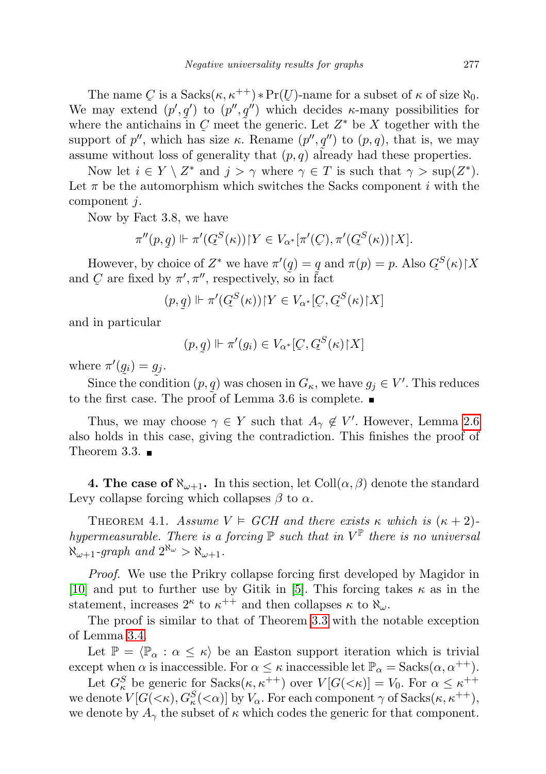The name C is a  $Sacks(\kappa, \kappa^{++}) * Pr(U)$ -name for a subset of  $\kappa$  of size  $\aleph_0$ . We may extend  $(p', q')$  to  $(p'', q'')$  which decides  $\kappa$ -many possibilities for where the antichains in  $C$  meet the generic. Let  $Z^*$  be X together with the support of p'', which has size  $\kappa$ . Rename  $(p'', q'')$  to  $(p, q)$ , that is, we may assume without loss of generality that  $(p, q)$  already had these properties.

Now let  $i \in Y \setminus Z^*$  and  $j > \gamma$  where  $\gamma \in T$  is such that  $\gamma > \sup(Z^*)$ . Let  $\pi$  be the automorphism which switches the Sacks component i with the component j.

Now by Fact 3.8, we have

$$
\pi''(p,q) \Vdash \pi'(G^S(\kappa)) \upharpoonright Y \in V_{\alpha^*}[\pi'(Q), \pi'(G^S(\kappa)) \upharpoonright X].
$$

However, by choice of  $Z^*$  we have  $\pi'(q) = q$  and  $\pi(p) = p$ . Also  $Q^S$ and C are fixed by  $\pi', \pi''$ , respectively, so in fa  $\tilde{\mathcal{C}}$  $(\kappa)$  $\upharpoonright$  X  $\tilde{\phantom{a}}$ are fixed by  $\pi', \pi''$ , respectively, so in fact

$$
(p,q) \Vdash \pi'(G^S(\kappa)) \upharpoonright Y \in V_{\alpha^*}[C, G^S(\kappa) \upharpoonright X]
$$

and in particular

$$
(p, q) \Vdash \pi'(g_i) \in V_{\alpha^*}[Q, Q^S(\kappa) \upharpoonright X]
$$

where  $\pi'(g_i) = g_j$ .

Since the condition  $(p, q)$  was chosen in  $G_{\kappa}$ , we have  $g_j \in V'$ . This reduces to the first case. The proof of Lemma 3.6 is complete.

Thus, we may choose  $\gamma \in Y$  such that  $A_{\gamma} \notin V'$ . However, Lemma [2.6](#page-3-2) also holds in this case, giving the contradiction. This finishes the proof of Theorem 3.3.  $\blacksquare$ 

<span id="page-8-0"></span>**4. The case of**  $\aleph_{\omega+1}$ . In this section, let Coll $(\alpha, \beta)$  denote the standard Levy collapse forcing which collapses  $\beta$  to  $\alpha$ .

<span id="page-8-1"></span>THEOREM 4.1. Assume  $V \models GCH$  and there exists  $\kappa$  which is  $(\kappa + 2)$ hypermeasurable. There is a forcing  $\mathbb P$  such that in  $V^{\mathbb P}$  there is no universal  $\aleph_{\omega+1}$ -graph and  $2^{\aleph_{\omega}} > \aleph_{\omega+1}$ .

Proof. We use the Prikry collapse forcing first developed by Magidor in [\[10\]](#page-13-12) and put to further use by Gitik in [\[5\]](#page-13-6). This forcing takes  $\kappa$  as in the statement, increases  $2^{\kappa}$  to  $\kappa^{++}$  and then collapses  $\kappa$  to  $\aleph_{\omega}$ .

The proof is similar to that of Theorem [3.3](#page-5-0) with the notable exception of Lemma [3.4.](#page-5-1)

Let  $\mathbb{P} = \langle \mathbb{P}_{\alpha} : \alpha \leq \kappa \rangle$  be an Easton support iteration which is trivial except when  $\alpha$  is inaccessible. For  $\alpha \leq \kappa$  inaccessible let  $\mathbb{P}_{\alpha} =$  Sacks $(\alpha, \alpha^{++})$ .

Let  $G_{\kappa}^{S}$  be generic for  $Sacks(\kappa, \kappa^{++})$  over  $V[G(<\kappa)] = V_0$ . For  $\alpha \leq \kappa^{++}$ we denote  $V[G(\lt k), G^S_\kappa(\lt \alpha)]$  by  $V_\alpha$ . For each component  $\gamma$  of  $Sacks(\kappa, \kappa^{++}),$ we denote by  $A_{\gamma}$  the subset of  $\kappa$  which codes the generic for that component.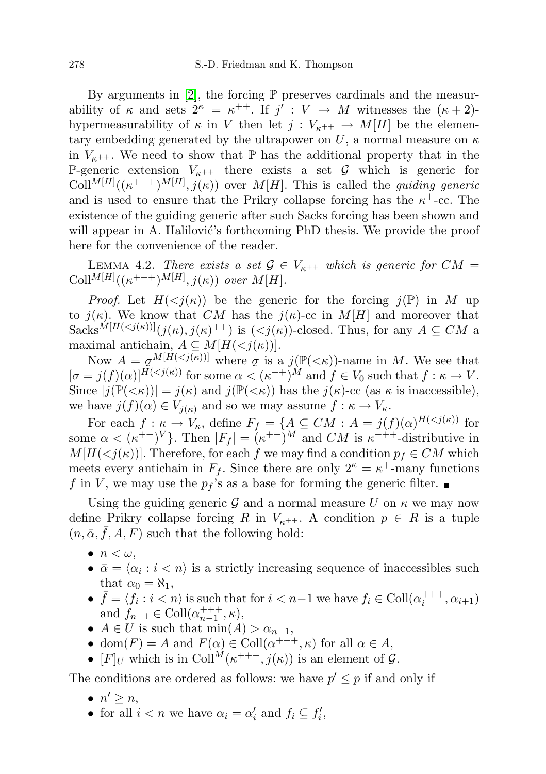By arguments in  $[2]$ , the forcing  $\mathbb P$  preserves cardinals and the measurability of  $\kappa$  and sets  $2^{\kappa} = \kappa^{++}$ . If  $j' : V \to M$  witnesses the  $(\kappa + 2)$ hypermeasurability of  $\kappa$  in V then let  $j: V_{\kappa^{++}} \to M[H]$  be the elementary embedding generated by the ultrapower on U, a normal measure on  $\kappa$ in  $V_{\kappa^{++}}$ . We need to show that  $\mathbb P$  has the additional property that in the P-generic extension  $V_{\kappa^{++}}$  there exists a set G which is generic for  $\text{Coll}^{M[H]}((\kappa^{+++})^{M[H]},j(\kappa))$  over  $M[H]$ . This is called the *guiding generic* and is used to ensure that the Prikry collapse forcing has the  $\kappa^+$ -cc. The existence of the guiding generic after such Sacks forcing has been shown and will appear in A. Halilović's forthcoming PhD thesis. We provide the proof here for the convenience of the reader.

LEMMA 4.2. There exists a set  $\mathcal{G} \in V_{\kappa^{++}}$  which is generic for  $CM =$ Coll<sup>M[H]</sup>( $(\kappa^{+++})^{M[H]}$ ,  $j(\kappa)$ ) over M[H].

*Proof.* Let  $H(*j*(\kappa))$  be the generic for the forcing  $j(\mathbb{P})$  in M up to  $j(\kappa)$ . We know that CM has the  $j(\kappa)$ -cc in M[H] and moreover that Sacks<sup> $M[H(*j*(*\kappa*))]$  $(j(\kappa), j(\kappa)^{++})$  is  $(*j*(\kappa))$ -closed. Thus, for any  $A \subseteq CM$  a</sup> maximal antichain,  $A \subseteq M[H(*j*(*\kappa*))]$ .

Now  $A = \sigma^{M[H(*j*(\kappa))]}$  where  $\sigma$  is a  $j(\mathbb{P}(*\kappa*))$ -name in M. We see that  $[\sigma = j(f)(\alpha)]^{\widetilde{H}( for some  $\alpha < (\kappa^{++})^M$  and  $f \in V_0$  such that  $f : \kappa \to V$ .$ Since  $|j(\mathbb{P}(<\kappa))| = j(\kappa)$  and  $j(\mathbb{P}(<\kappa))$  has the  $j(\kappa)$ -cc (as  $\kappa$  is inaccessible), we have  $j(f)(\alpha) \in V_{i(\kappa)}$  and so we may assume  $f : \kappa \to V_{\kappa}$ .

For each  $f: \kappa \to V_\kappa$ , define  $F_f = \{A \subseteq CM : A = j(f)(\alpha)^{H( for$ some  $\alpha < (\kappa^{++})^V$ . Then  $|F_f| = (\kappa^{++})^M$  and CM is  $\kappa^{+++}$ -distributive in  $M[H(*j*(*\kappa*))]$ . Therefore, for each f we may find a condition  $p_f \in CM$  which meets every antichain in  $F_f$ . Since there are only  $2^{\kappa} = \kappa^+$ -many functions f in V, we may use the  $p_f$ 's as a base for forming the generic filter.

Using the guiding generic G and a normal measure U on  $\kappa$  we may now define Prikry collapse forcing R in  $V_{\kappa^{++}}$ . A condition  $p \in R$  is a tuple  $(n, \bar{\alpha}, \bar{f}, A, F)$  such that the following hold:

- $\bullet$   $n < \omega$ .
- $\bar{\alpha} = \langle \alpha_i : i < n \rangle$  is a strictly increasing sequence of inaccessibles such that  $\alpha_0 = \aleph_1$ ,
- $\bar{f} = \langle f_i : i \langle n \rangle$  is such that for  $i \langle n-1 \rangle$  we have  $f_i \in \text{Coll}(\alpha_i^{+++}, \alpha_{i+1})$ and  $f_{n-1} \in \text{Coll}(\alpha_{n-1}^{+++}, \kappa),$
- $A \in U$  is such that  $\min(A) > \alpha_{n-1}$ ,
- dom $(F) = A$  and  $F(\alpha) \in Coll(\alpha^{+++}, \kappa)$  for all  $\alpha \in A$ ,
- $[F]_U$  which is in Coll<sup>M</sup> $(\kappa^{+++}, j(\kappa))$  is an element of  $\mathcal{G}$ .

The conditions are ordered as follows: we have  $p' \leq p$  if and only if

- $\bullet$   $n' \geq n$ ,
- for all  $i < n$  we have  $\alpha_i = \alpha'_i$  and  $f_i \subseteq f'_i$ ,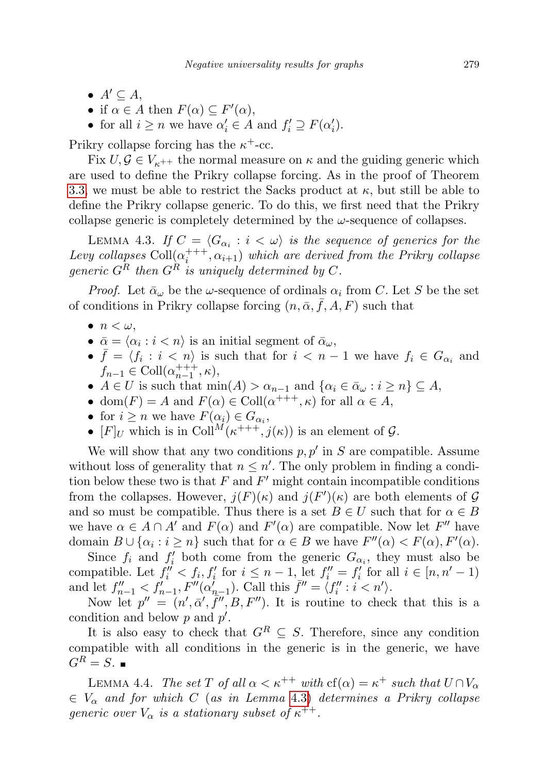- $A' \subseteq A$ ,
- if  $\alpha \in A$  then  $F(\alpha) \subseteq F'(\alpha)$ ,
- for all  $i \geq n$  we have  $\alpha'_i \in A$  and  $f'_i \supseteq F(\alpha'_i)$ .

Prikry collapse forcing has the  $\kappa^+$ -cc.

Fix  $U, \mathcal{G} \in V_{\kappa^{++}}$  the normal measure on  $\kappa$  and the guiding generic which are used to define the Prikry collapse forcing. As in the proof of Theorem [3.3,](#page-5-0) we must be able to restrict the Sacks product at  $\kappa$ , but still be able to define the Prikry collapse generic. To do this, we first need that the Prikry collapse generic is completely determined by the  $\omega$ -sequence of collapses.

<span id="page-10-0"></span>LEMMA 4.3. If  $C = \langle G_{\alpha_i} : i \langle \omega \rangle$  is the sequence of generics for the Levy collapses  $\text{Coll}(\alpha_i^{+++}, \alpha_{i+1})$  which are derived from the Prikry collapse generic  $G^R$  then  $G^R$  is uniquely determined by C.

*Proof.* Let  $\bar{\alpha}_{\omega}$  be the  $\omega$ -sequence of ordinals  $\alpha_i$  from C. Let S be the set of conditions in Prikry collapse forcing  $(n, \bar{\alpha}, \bar{f}, A, F)$  such that

- $\bullet$   $n < \omega$ .
- $\bar{\alpha} = \langle \alpha_i : i < n \rangle$  is an initial segment of  $\bar{\alpha}_{\omega}$ ,
- $\bar{f} = \langle f_i : i \langle n \rangle$  is such that for  $i \langle n-1 \rangle$  we have  $f_i \in G_{\alpha_i}$  and  $f_{n-1} \in \text{Coll}(\alpha_{n-1}^{+++}, \kappa),$
- $A \in U$  is such that  $\min(A) > \alpha_{n-1}$  and  $\{\alpha_i \in \bar{\alpha}_\omega : i \geq n\} \subseteq A$ ,
- dom $(F) = A$  and  $F(\alpha) \in \text{Coll}(\alpha^{+++}, \kappa)$  for all  $\alpha \in A$ ,
- for  $i \geq n$  we have  $F(\alpha_i) \in G_{\alpha_i}$ ,
- $[F]_U$  which is in Coll<sup>M</sup> $(\kappa^{+++}, j(\kappa))$  is an element of  $\mathcal{G}$ .

We will show that any two conditions  $p, p'$  in S are compatible. Assume without loss of generality that  $n \leq n'$ . The only problem in finding a condition below these two is that  $F$  and  $F'$  might contain incompatible conditions from the collapses. However,  $j(F)(\kappa)$  and  $j(F')(\kappa)$  are both elements of G and so must be compatible. Thus there is a set  $B \in U$  such that for  $\alpha \in B$ we have  $\alpha \in A \cap A'$  and  $F(\alpha)$  and  $F'(\alpha)$  are compatible. Now let  $F''$  have domain  $B \cup \{\alpha_i : i \geq n\}$  such that for  $\alpha \in B$  we have  $F''(\alpha) < F(\alpha)$ ,  $F'(\alpha)$ .

Since  $f_i$  and  $f'_i$  both come from the generic  $G_{\alpha_i}$ , they must also be compatible. Let  $f''_i < f_i, f'_i$  for  $i \leq n-1$ , let  $f''_i = f'_i$  for all  $i \in [n, n'-1)$ and let  $f''_{n-1} < f'_{n-1}$ ,  $F''(\alpha'_{n-1})$ . Call this  $\bar{f}'' = \langle f''_i : i < n' \rangle$ .

Now let  $p'' = (n', \bar{\alpha}', \bar{f}'', B, F'')$ . It is routine to check that this is a condition and below  $p$  and  $p'$ .

It is also easy to check that  $G^R \subseteq S$ . Therefore, since any condition compatible with all conditions in the generic is in the generic, we have  $G^R = S$ .

LEMMA 4.4. The set T of all  $\alpha < \kappa^{++}$  with  $cf(\alpha) = \kappa^+$  such that  $U \cap V_{\alpha}$  $\in V_{\alpha}$  and for which C (as in Lemma [4.3\)](#page-10-0) determines a Prikry collapse generic over  $V_{\alpha}$  is a stationary subset of  $\kappa^{++}$ .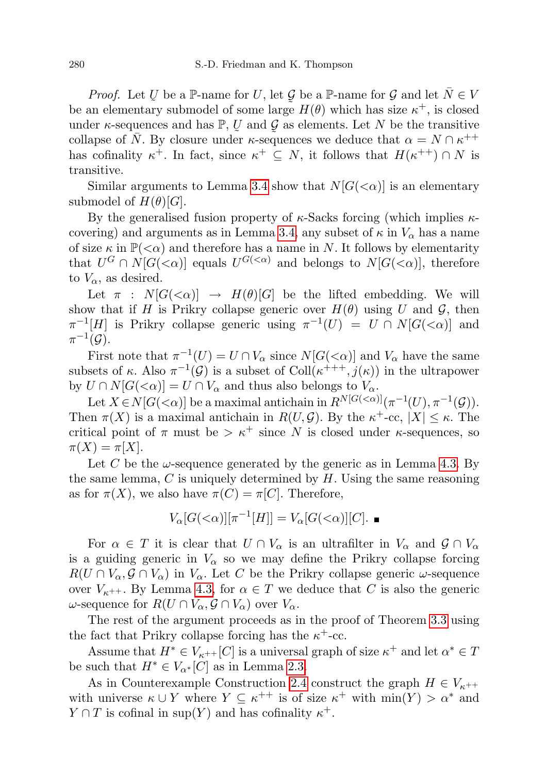*Proof.* Let U be a  $\mathbb{P}\text{-name}$  for U, let G be a  $\mathbb{P}\text{-name}$  for G and let  $\overline{N} \in V$ be an elementary submodel of some large  $H(\theta)$  which has size  $\kappa^+$ , is closed under  $\kappa$ -sequences and has  $\mathbb{P}, \mathbb{U}$  and  $\mathcal{G}$  as elements. Let N be the transitive collapse of  $\overline{N}$ . By closure under  $\kappa$ -sequences we deduce that  $\alpha = N \cap \kappa^{++}$ has cofinality  $\kappa^+$ . In fact, since  $\kappa^+ \subseteq N$ , it follows that  $H(\kappa^{++}) \cap N$  is transitive.

Similar arguments to Lemma [3.4](#page-5-1) show that  $N[G(\langle \alpha \rangle)]$  is an elementary submodel of  $H(\theta)[G]$ .

By the generalised fusion property of  $\kappa$ -Sacks forcing (which implies  $\kappa$ -covering) and arguments as in Lemma [3.4,](#page-5-1) any subset of  $\kappa$  in  $V_{\alpha}$  has a name of size  $\kappa$  in  $\mathbb{P}(<\alpha)$  and therefore has a name in N. It follows by elementarity that  $U^G \cap N[G(\langle \alpha \rangle)]$  equals  $U^{G(\langle \alpha \rangle)}$  and belongs to  $N[G(\langle \alpha \rangle)]$ , therefore to  $V_{\alpha}$ , as desired.

Let  $\pi$  :  $N[G(\langle \alpha)] \rightarrow H(\theta)[G]$  be the lifted embedding. We will show that if H is Prikry collapse generic over  $H(\theta)$  using U and G, then  $\pi^{-1}[H]$  is Prikry collapse generic using  $\pi^{-1}(U) = U \cap N[G(\langle \alpha \rangle)]$  and  $\pi^{-1}(\mathcal{G}).$ 

First note that  $\pi^{-1}(U) = U \cap V_\alpha$  since  $N[G(\langle \alpha \rangle]]$  and  $V_\alpha$  have the same subsets of  $\kappa$ . Also  $\pi^{-1}(\mathcal{G})$  is a subset of Coll $(\kappa^{+++}, j(\kappa))$  in the ultrapower by  $U \cap N[G(\langle \alpha)] = U \cap V_{\alpha}$  and thus also belongs to  $V_{\alpha}$ .

Let  $X \in N[G(\langle \alpha \rangle])$  be a maximal antichain in  $R^{N[G(\langle \alpha \rangle)]}(\pi^{-1}(U), \pi^{-1}(\mathcal{G})).$ Then  $\pi(X)$  is a maximal antichain in  $R(U, \mathcal{G})$ . By the  $\kappa^+$ -cc,  $|X| \leq \kappa$ . The critical point of  $\pi$  must be  $>\kappa^+$  since N is closed under  $\kappa$ -sequences, so  $\pi(X) = \pi|X|.$ 

Let C be the  $\omega$ -sequence generated by the generic as in Lemma [4.3.](#page-10-0) By the same lemma,  $C$  is uniquely determined by  $H$ . Using the same reasoning as for  $\pi(X)$ , we also have  $\pi(C) = \pi[C]$ . Therefore,

$$
V_{\alpha}[G(<\alpha)][\pi^{-1}[H]] = V_{\alpha}[G(<\alpha)][C]. \blacksquare
$$

For  $\alpha \in T$  it is clear that  $U \cap V_{\alpha}$  is an ultrafilter in  $V_{\alpha}$  and  $\mathcal{G} \cap V_{\alpha}$ is a guiding generic in  $V_{\alpha}$  so we may define the Prikry collapse forcing  $R(U \cap V_\alpha, \mathcal{G} \cap V_\alpha)$  in  $V_\alpha$ . Let C be the Prikry collapse generic  $\omega$ -sequence over  $V_{\kappa^{++}}$ . By Lemma [4.3,](#page-10-0) for  $\alpha \in T$  we deduce that C is also the generic ω-sequence for  $R(U ∩ V<sub>α</sub>, G ∩ V<sub>α</sub>)$  over  $V<sub>α</sub>$ .

The rest of the argument proceeds as in the proof of Theorem [3.3](#page-5-0) using the fact that Prikry collapse forcing has the  $\kappa^+$ -cc.

Assume that  $H^* \in V_{\kappa^{++}}[C]$  is a universal graph of size  $\kappa^+$  and let  $\alpha^* \in T$ be such that  $H^* \in V_{\alpha^*}[C]$  as in Lemma [2.3.](#page-2-2)

As in Counterexample Construction [2.4](#page-3-0) construct the graph  $H \in V_{\kappa^{++}}$ with universe  $\kappa \cup Y$  where  $Y \subseteq \kappa^{++}$  is of size  $\kappa^+$  with  $\min(Y) > \alpha^*$  and  $Y \cap T$  is cofinal in sup(Y) and has cofinality  $\kappa^+$ .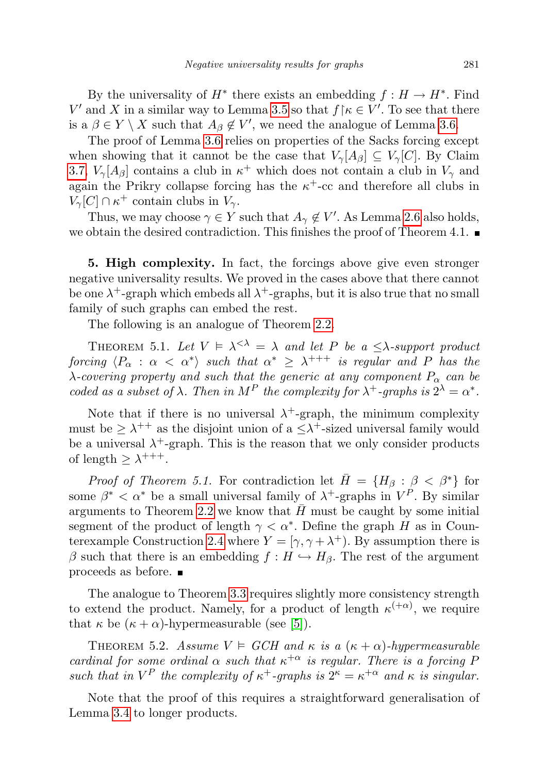By the universality of  $H^*$  there exists an embedding  $f: H \to H^*$ . Find  $V'$  and X in a similar way to Lemma [3.5](#page-6-0) so that  $f \upharpoonright \kappa \in V'$ . To see that there is a  $\beta \in Y \setminus X$  such that  $A_{\beta} \notin V'$ , we need the analogue of Lemma [3.6.](#page-6-1)

The proof of Lemma [3.6](#page-6-1) relies on properties of the Sacks forcing except when showing that it cannot be the case that  $V_{\gamma}[A_{\beta}] \subseteq V_{\gamma}[C]$ . By Claim [3.7,](#page-7-0)  $V_{\gamma}[A_{\beta}]$  contains a club in  $\kappa^+$  which does not contain a club in  $V_{\gamma}$  and again the Prikry collapse forcing has the  $\kappa^+$ -cc and therefore all clubs in  $V_{\gamma}[C] \cap \kappa^+$  contain clubs in  $V_{\gamma}$ .

Thus, we may choose  $\gamma \in Y$  such that  $A_{\gamma} \notin V'$ . As Lemma [2.6](#page-3-2) also holds, we obtain the desired contradiction. This finishes the proof of Theorem 4.1.

<span id="page-12-0"></span>5. High complexity. In fact, the forcings above give even stronger negative universality results. We proved in the cases above that there cannot be one  $\lambda^+$ -graph which embeds all  $\lambda^+$ -graphs, but it is also true that no small family of such graphs can embed the rest.

The following is an analogue of Theorem [2.2.](#page-2-1)

<span id="page-12-1"></span>THEOREM 5.1. Let  $V \models \lambda^{<\lambda} = \lambda$  and let P be a  $\leq \lambda$ -support product  $\it{forcing} \ \langle P_\alpha \, : \, \alpha \, < \, \alpha^* \rangle \ \ \it{such} \ \ that \ \ \alpha^* \ \geq \ \lambda^{+++} \ \ \it{is} \ \ \it{regular} \ \ and \ \ P \ \ \it{has} \ \ the$  $\lambda$ -covering property and such that the generic at any component  $P_{\alpha}$  can be coded as a subset of  $\lambda$ . Then in M<sup>P</sup> the complexity for  $\lambda^+$ -graphs is  $2^{\lambda} = \alpha^*$ .

Note that if there is no universal  $\lambda^+$ -graph, the minimum complexity must be  $\geq \lambda^{++}$  as the disjoint union of a  $\leq \lambda^{+}$ -sized universal family would be a universal  $\lambda^+$ -graph. This is the reason that we only consider products of length  $\geq \lambda^{+++}$ .

*Proof of Theorem 5.1.* For contradiction let  $\overline{H} = \{H_\beta : \beta < \beta^*\}\$ for some  $\beta^* < \alpha^*$  be a small universal family of  $\lambda^+$ -graphs in  $V^P$ . By similar arguments to Theorem [2.2](#page-2-1) we know that  $\bar{H}$  must be caught by some initial segment of the product of length  $\gamma < \alpha^*$ . Define the graph H as in Coun-terexample Construction [2.4](#page-3-0) where  $Y = [\gamma, \gamma + \lambda^+]$ . By assumption there is β such that there is an embedding  $f : H \hookrightarrow H_\beta$ . The rest of the argument proceeds as before.

The analogue to Theorem [3.3](#page-5-0) requires slightly more consistency strength to extend the product. Namely, for a product of length  $\kappa^{(+\alpha)}$ , we require that  $\kappa$  be  $(\kappa + \alpha)$ -hypermeasurable (see [\[5\]](#page-13-6)).

THEOREM 5.2. Assume  $V \models GCH$  and  $\kappa$  is a  $(\kappa + \alpha)$ -hypermeasurable cardinal for some ordinal  $\alpha$  such that  $\kappa^{+\alpha}$  is regular. There is a forcing F such that in  $V^P$  the complexity of  $\kappa^+$ -graphs is  $2^{\kappa} = \kappa^{+\alpha}$  and  $\kappa$  is singular.

Note that the proof of this requires a straightforward generalisation of Lemma [3.4](#page-5-1) to longer products.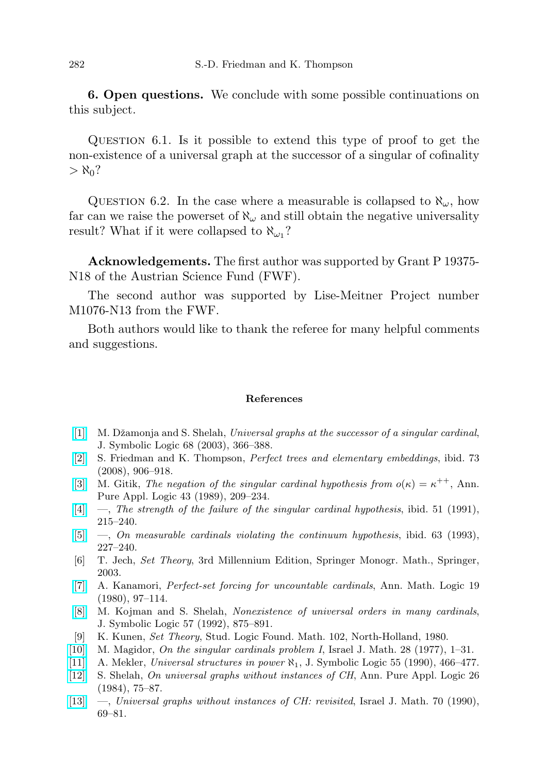6. Open questions. We conclude with some possible continuations on this subject.

Question 6.1. Is it possible to extend this type of proof to get the non-existence of a universal graph at the successor of a singular of cofinality  $>$   $\aleph_0$ ?

QUESTION 6.2. In the case where a measurable is collapsed to  $\aleph_{\omega}$ , how far can we raise the powerset of  $\aleph_{\omega}$  and still obtain the negative universality result? What if it were collapsed to  $\aleph_{\omega_1}$ ?

Acknowledgements. The first author was supported by Grant P 19375- N18 of the Austrian Science Fund (FWF).

The second author was supported by Lise-Meitner Project number M1076-N13 from the FWF.

Both authors would like to thank the referee for many helpful comments and suggestions.

## References

- <span id="page-13-7"></span>[\[1\]](http://dx.doi.org/10.2178/jsl/1052669056) M. Džamonja and S. Shelah, Universal graphs at the successor of a singular cardinal, J. Symbolic Logic 68 (2003), 366–388.
- <span id="page-13-10"></span>[\[2\]](http://dx.doi.org/10.2178/jsl/1230396754) S. Friedman and K. Thompson, Perfect trees and elementary embeddings, ibid. 73 (2008), 906–918.
- <span id="page-13-8"></span>[\[3\]](http://dx.doi.org/10.1016/0168-0072(89)90069-9) M. Gitik, The negation of the singular cardinal hypothesis from  $o(\kappa) = \kappa^{++}$ , Ann. Pure Appl. Logic 43 (1989), 209–234.
- <span id="page-13-5"></span> $[4] \quad [4] \quad -$ , The strength of the failure of the singular cardinal hypothesis, ibid. 51 (1991), 215–240.
- <span id="page-13-6"></span>[\[5\]](http://dx.doi.org/10.1016/0168-0072(93)90149-8)  $\ldots$ , On measurable cardinals violating the continuum hypothesis, ibid. 63 (1993), 227–240.
- <span id="page-13-4"></span>[6] T. Jech, Set Theory, 3rd Millennium Edition, Springer Monogr. Math., Springer, 2003.
- <span id="page-13-9"></span>[\[7\]](http://dx.doi.org/10.1016/0003-4843(80)90021-2) A. Kanamori, Perfect-set forcing for uncountable cardinals, Ann. Math. Logic 19 (1980), 97–114.
- <span id="page-13-1"></span>[\[8\]](http://dx.doi.org/10.2307/2275437) M. Kojman and S. Shelah, Nonexistence of universal orders in many cardinals, J. Symbolic Logic 57 (1992), 875–891.
- <span id="page-13-11"></span>[9] K. Kunen, Set Theory, Stud. Logic Found. Math. 102, North-Holland, 1980.
- <span id="page-13-12"></span>[\[10\]](http://dx.doi.org/10.1007/BF02759779) M. Magidor, On the singular cardinals problem I, Israel J. Math. 28 (1977), 1–31.
- <span id="page-13-2"></span>[\[11\]](http://dx.doi.org/10.2307/2274640) A. Mekler, Universal structures in power ℵ1, J. Symbolic Logic 55 (1990), 466–477.
- <span id="page-13-0"></span>[\[12\]](http://dx.doi.org/10.1016/0168-0072(84)90042-3) S. Shelah, On universal graphs without instances of CH, Ann. Pure Appl. Logic 26 (1984), 75–87.
- <span id="page-13-3"></span>[\[13\]](http://dx.doi.org/10.1007/BF02807219) —, Universal graphs without instances of CH: revisited, Israel J. Math. 70 (1990), 69–81.